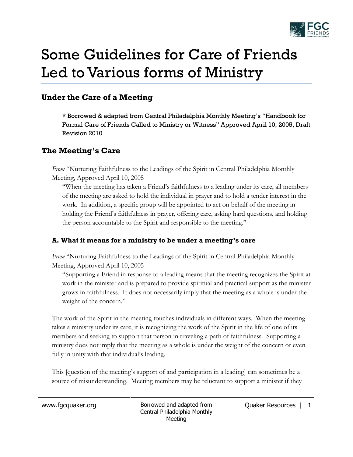

# Some Guidelines for Care of Friends Led to Various forms of Ministry

# **Under the Care of a Meeting**

**\*** Borrowed & adapted from Central Philadelphia Monthly Meeting's "Handbook for Formal Care of Friends Called to Ministry or Witness" Approved April 10, 2005, Draft Revision 2010

# **The Meeting's Care**

*From* "Nurturing Faithfulness to the Leadings of the Spirit in Central Philadelphia Monthly Meeting, Approved April 10, 2005

"When the meeting has taken a Friend's faithfulness to a leading under its care, all members of the meeting are asked to hold the individual in prayer and to hold a tender interest in the work. In addition, a specific group will be appointed to act on behalf of the meeting in holding the Friend's faithfulness in prayer, offering care, asking hard questions, and holding the person accountable to the Spirit and responsible to the meeting."

## **A. What it means for a ministry to be under a meeting's care**

*From* "Nurturing Faithfulness to the Leadings of the Spirit in Central Philadelphia Monthly Meeting, Approved April 10, 2005

"Supporting a Friend in response to a leading means that the meeting recognizes the Spirit at work in the minister and is prepared to provide spiritual and practical support as the minister grows in faithfulness. It does not necessarily imply that the meeting as a whole is under the weight of the concern."

The work of the Spirit in the meeting touches individuals in different ways. When the meeting takes a ministry under its care, it is recognizing the work of the Spirit in the life of one of its members and seeking to support that person in traveling a path of faithfulness. Supporting a ministry does not imply that the meeting as a whole is under the weight of the concern or even fully in unity with that individual's leading.

This [question of the meeting's support of and participation in a leading] can sometimes be a source of misunderstanding. Meeting members may be reluctant to support a minister if they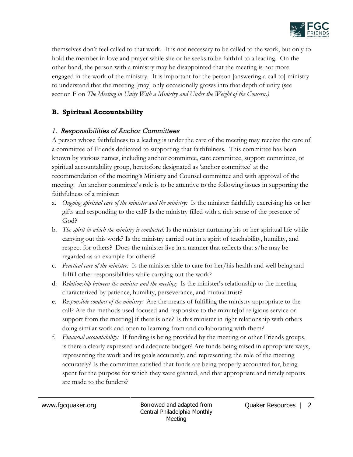

themselves don't feel called to that work. It is not necessary to be called to the work, but only to hold the member in love and prayer while she or he seeks to be faithful to a leading. On the other hand, the person with a ministry may be disappointed that the meeting is not more engaged in the work of the ministry. It is important for the person [answering a call to] ministry to understand that the meeting [may] only occasionally grows into that depth of unity (see section F on *The Meeting in Unity With a Ministry and Under the Weight of the Concern.)*

## **B. Spiritual Accountability**

#### *1. Responsibilities of Anchor Committees*

A person whose faithfulness to a leading is under the care of the meeting may receive the care of a committee of Friends dedicated to supporting that faithfulness. This committee has been known by various names, including anchor committee, care committee, support committee, or spiritual accountability group, heretofore designated as 'anchor committee' at the recommendation of the meeting's Ministry and Counsel committee and with approval of the meeting. An anchor committee's role is to be attentive to the following issues in supporting the faithfulness of a minister:

- a. *Ongoing spiritual care of the minister and the ministry:* Is the minister faithfully exercising his or her gifts and responding to the call? Is the ministry filled with a rich sense of the presence of God?
- b. *The spirit in which the ministry is conducted:* Is the minister nurturing his or her spiritual life while carrying out this work? Is the ministry carried out in a spirit of teachability, humility, and respect for others? Does the minister live in a manner that reflects that s/he may be regarded as an example for others?
- c. *Practical care of the minister:* Is the minister able to care for her/his health and well being and fulfill other responsibilities while carrying out the work?
- d. *Relationship between the minister and the meeting:* Is the minister's relationship to the meeting characterized by patience, humility, perseverance, and mutual trust?
- e. *Responsible conduct of the ministry:* Are the means of fulfilling the ministry appropriate to the call? Are the methods used focused and responsive to the minute[of religious service or support from the meeting] if there is one? Is this minister in right relationship with others doing similar work and open to learning from and collaborating with them?
- f. *Financial accountability:* If funding is being provided by the meeting or other Friends groups, is there a clearly expressed and adequate budget? Are funds being raised in appropriate ways, representing the work and its goals accurately, and representing the role of the meeting accurately? Is the committee satisfied that funds are being properly accounted for, being spent for the purpose for which they were granted, and that appropriate and timely reports are made to the funders?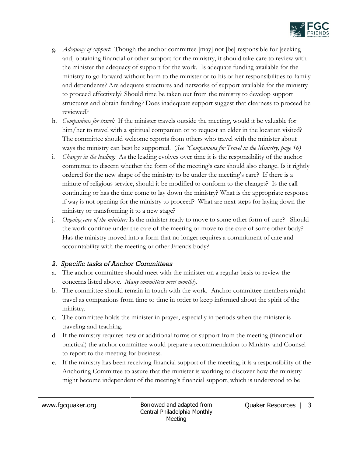

- g. *Adequacy of support:* Though the anchor committee [may] not [be] responsible for [seeking and] obtaining financial or other support for the ministry, it should take care to review with the minister the adequacy of support for the work. Is adequate funding available for the ministry to go forward without harm to the minister or to his or her responsibilities to family and dependents? Are adequate structures and networks of support available for the ministry to proceed effectively? Should time be taken out from the ministry to develop support structures and obtain funding? Does inadequate support suggest that clearness to proceed be reviewed?
- h. *Companions for travel:* If the minister travels outside the meeting, would it be valuable for him/her to travel with a spiritual companion or to request an elder in the location visited? The committee should welcome reports from others who travel with the minister about ways the ministry can best be supported. (*See "Companions for Travel in the Ministry, page 16)*
- i. *Changes in the leading:* As the leading evolves over time it is the responsibility of the anchor committee to discern whether the form of the meeting's care should also change. Is it rightly ordered for the new shape of the ministry to be under the meeting's care? If there is a minute of religious service, should it be modified to conform to the changes? Is the call continuing or has the time come to lay down the ministry? What is the appropriate response if way is not opening for the ministry to proceed? What are next steps for laying down the ministry or transforming it to a new stage?
- j. *Ongoing care of the minister:* Is the minister ready to move to some other form of care? Should the work continue under the care of the meeting or move to the care of some other body? Has the ministry moved into a form that no longer requires a commitment of care and accountability with the meeting or other Friends body?

#### *2. Specific tasks of Anchor Committees*

- a. The anchor committee should meet with the minister on a regular basis to review the concerns listed above. *Many committees meet monthly.*
- b. The committee should remain in touch with the work. Anchor committee members might travel as companions from time to time in order to keep informed about the spirit of the ministry.
- c. The committee holds the minister in prayer, especially in periods when the minister is traveling and teaching.
- d. If the ministry requires new or additional forms of support from the meeting (financial or practical) the anchor committee would prepare a recommendation to Ministry and Counsel to report to the meeting for business.
- e. If the ministry has been receiving financial support of the meeting, it is a responsibility of the Anchoring Committee to assure that the minister is working to discover how the ministry might become independent of the meeting's financial support, which is understood to be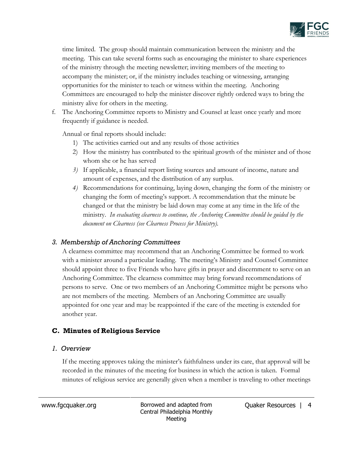

time limited*.* The group should maintain communication between the ministry and the meeting. This can take several forms such as encouraging the minister to share experiences of the ministry through the meeting newsletter; inviting members of the meeting to accompany the minister; or, if the ministry includes teaching or witnessing, arranging opportunities for the minister to teach or witness within the meeting. Anchoring Committees are encouraged to help the minister discover rightly ordered ways to bring the ministry alive for others in the meeting.

f. The Anchoring Committee reports to Ministry and Counsel at least once yearly and more frequently if guidance is needed.

Annual or final reports should include:

- 1) The activities carried out and any results of those activities
- 2) How the ministry has contributed to the spiritual growth of the minister and of those whom she or he has served
- *3)* If applicable, a financial report listing sources and amount of income, nature and amount of expenses, and the distribution of any surplus.
- *4)* Recommendations for continuing, laying down, changing the form of the ministry or changing the form of meeting's support. A recommendation that the minute be changed or that the ministry be laid down may come at any time in the life of the ministry. *In evaluating clearness to continue, the Anchoring Committee should be guided by the document on Clearness (see Clearness Process for Ministry).*

#### *3. Membership of Anchoring Committees*

A clearness committee may recommend that an Anchoring Committee be formed to work with a minister around a particular leading. The meeting's Ministry and Counsel Committee should appoint three to five Friends who have gifts in prayer and discernment to serve on an Anchoring Committee. The clearness committee may bring forward recommendations of persons to serve. One or two members of an Anchoring Committee might be persons who are not members of the meeting. Members of an Anchoring Committee are usually appointed for one year and may be reappointed if the care of the meeting is extended for another year.

## **C. Minutes of Religious Service**

#### *1. Overview*

If the meeting approves taking the minister's faithfulness under its care, that approval will be recorded in the minutes of the meeting for business in which the action is taken. Formal minutes of religious service are generally given when a member is traveling to other meetings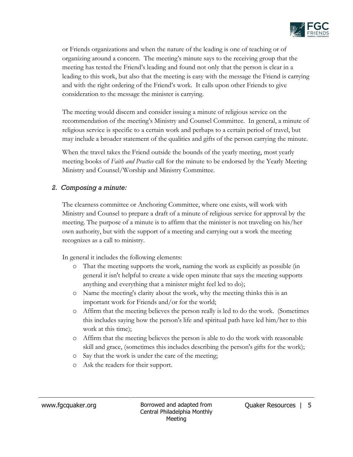

or Friends organizations and when the nature of the leading is one of teaching or of organizing around a concern. The meeting's minute says to the receiving group that the meeting has tested the Friend's leading and found not only that the person is clear in a leading to this work, but also that the meeting is easy with the message the Friend is carrying and with the right ordering of the Friend's work. It calls upon other Friends to give consideration to the message the minister is carrying.

The meeting would discern and consider issuing a minute of religious service on the recommendation of the meeting's Ministry and Counsel Committee. In general, a minute of religious service is specific to a certain work and perhaps to a certain period of travel, but may include a broader statement of the qualities and gifts of the person carrying the minute.

When the travel takes the Friend outside the bounds of the yearly meeting, most yearly meeting books of *Faith and Practice* call for the minute to be endorsed by the Yearly Meeting Ministry and Counsel/Worship and Ministry Committee.

#### *2. Composing a minute:*

The clearness committee or Anchoring Committee, where one exists, will work with Ministry and Counsel to prepare a draft of a minute of religious service for approval by the meeting. The purpose of a minute is to affirm that the minister is not traveling on his/her own authority, but with the support of a meeting and carrying out a work the meeting recognizes as a call to ministry.

In general it includes the following elements:

- o That the meeting supports the work, naming the work as explicitly as possible (in general it isn't helpful to create a wide open minute that says the meeting supports anything and everything that a minister might feel led to do);
- o Name the meeting's clarity about the work, why the meeting thinks this is an important work for Friends and/or for the world;
- o Affirm that the meeting believes the person really is led to do the work. (Sometimes this includes saying how the person's life and spiritual path have led him/her to this work at this time);
- o Affirm that the meeting believes the person is able to do the work with reasonable skill and grace, (sometimes this includes describing the person's gifts for the work);
- o Say that the work is under the care of the meeting;
- o Ask the readers for their support.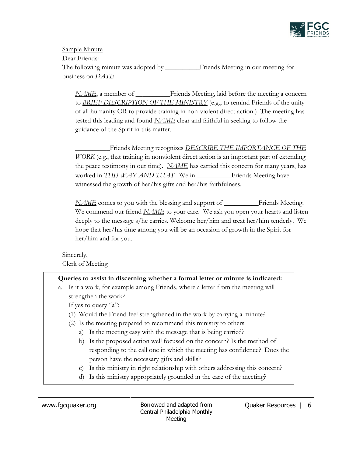

Sample Minute Dear Friends: The following minute was adopted by \_\_\_\_\_\_\_\_\_\_Friends Meeting in our meeting for business on *DATE*.

*NAME*, a member of \_\_\_\_\_\_\_\_\_\_\_\_Friends Meeting, laid before the meeting a concern to *BRIEF DESCRIPTION OF THE MINISTRY* (e.g., to remind Friends of the unity of all humanity OR to provide training in non-violent direct action.) The meeting has tested this leading and found *NAME* clear and faithful in seeking to follow the guidance of the Spirit in this matter.

\_\_\_\_\_\_\_\_\_\_Friends Meeting recognizes *DESCRIBE THE IMPORTANCE OF THE WORK* (e.g., that training in nonviolent direct action is an important part of extending the peace testimony in our time). *NAME* has carried this concern for many years, has worked in *THIS WAY AND THAT*. We in Friends Meeting have witnessed the growth of her/his gifts and her/his faithfulness.

*NAME* comes to you with the blessing and support of \_\_\_\_\_\_\_\_\_\_Friends Meeting. We commend our friend *NAME* to your care. We ask you open your hearts and listen deeply to the message s/he carries. Welcome her/him and treat her/him tenderly. We hope that her/his time among you will be an occasion of growth in the Spirit for her/him and for you.

Sincerely, Clerk of Meeting

#### **Queries to assist in discerning whether a formal letter or minute is indicated:**

a. Is it a work, for example among Friends, where a letter from the meeting will strengthen the work?

If yes to query "a":

- (1) Would the Friend feel strengthened in the work by carrying a minute?
- (2) Is the meeting prepared to recommend this ministry to others:
	- a) Is the meeting easy with the message that is being carried?
	- b) Is the proposed action well focused on the concern? Is the method of responding to the call one in which the meeting has confidence? Does the person have the necessary gifts and skills?
	- c) Is this ministry in right relationship with others addressing this concern?
	- d) Is this ministry appropriately grounded in the care of the meeting?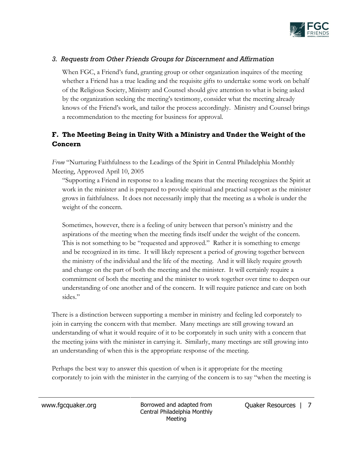

#### *3. Requests from Other Friends Groups for Discernment and Affirmation*

When FGC, a Friend's fund, granting group or other organization inquires of the meeting whether a Friend has a true leading and the requisite gifts to undertake some work on behalf of the Religious Society, Ministry and Counsel should give attention to what is being asked by the organization seeking the meeting's testimony, consider what the meeting already knows of the Friend's work, and tailor the process accordingly. Ministry and Counsel brings a recommendation to the meeting for business for approval.

# **F. The Meeting Being in Unity With a Ministry and Under the Weight of the Concern**

*From* "Nurturing Faithfulness to the Leadings of the Spirit in Central Philadelphia Monthly Meeting, Approved April 10, 2005

"Supporting a Friend in response to a leading means that the meeting recognizes the Spirit at work in the minister and is prepared to provide spiritual and practical support as the minister grows in faithfulness. It does not necessarily imply that the meeting as a whole is under the weight of the concern.

Sometimes, however, there is a feeling of unity between that person's ministry and the aspirations of the meeting when the meeting finds itself under the weight of the concern. This is not something to be "requested and approved." Rather it is something to emerge and be recognized in its time. It will likely represent a period of growing together between the ministry of the individual and the life of the meeting. And it will likely require growth and change on the part of both the meeting and the minister. It will certainly require a commitment of both the meeting and the minister to work together over time to deepen our understanding of one another and of the concern. It will require patience and care on both sides."

There is a distinction between supporting a member in ministry and feeling led corporately to join in carrying the concern with that member. Many meetings are still growing toward an understanding of what it would require of it to be corporately in such unity with a concern that the meeting joins with the minister in carrying it. Similarly, many meetings are still growing into an understanding of when this is the appropriate response of the meeting.

Perhaps the best way to answer this question of when is it appropriate for the meeting corporately to join with the minister in the carrying of the concern is to say "when the meeting is